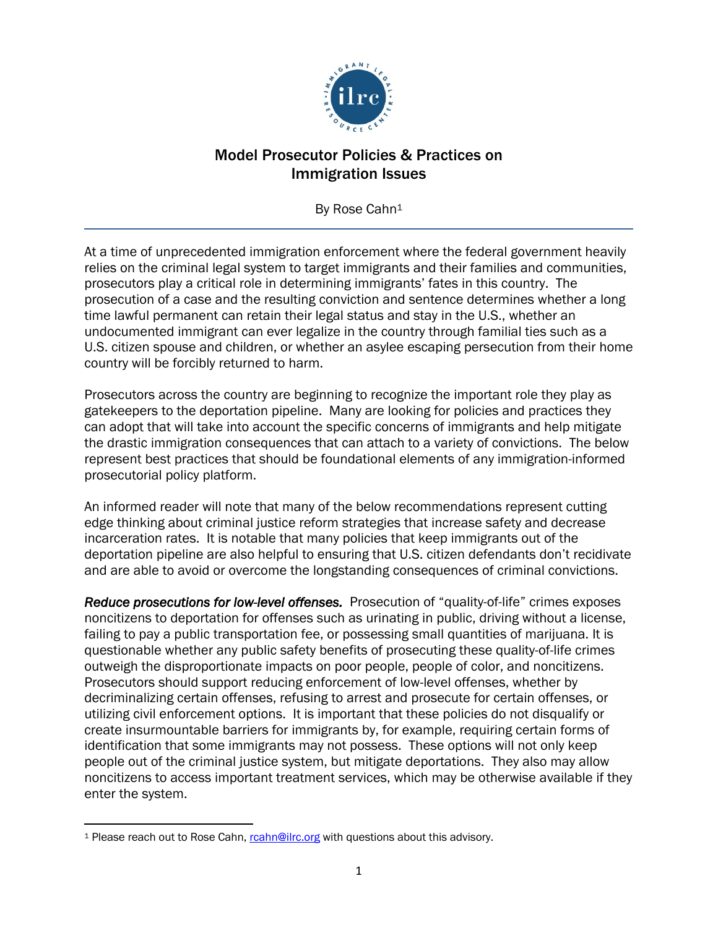

## Model Prosecutor Policies & Practices on Immigration Issues

By Rose Cahn<sup>1</sup>

At a time of unprecedented immigration enforcement where the federal government heavily relies on the criminal legal system to target immigrants and their families and communities, prosecutors play a critical role in determining immigrants' fates in this country. The prosecution of a case and the resulting conviction and sentence determines whether a long time lawful permanent can retain their legal status and stay in the U.S., whether an undocumented immigrant can ever legalize in the country through familial ties such as a U.S. citizen spouse and children, or whether an asylee escaping persecution from their home country will be forcibly returned to harm.

Prosecutors across the country are beginning to recognize the important role they play as gatekeepers to the deportation pipeline. Many are looking for policies and practices they can adopt that will take into account the specific concerns of immigrants and help mitigate the drastic immigration consequences that can attach to a variety of convictions. The below represent best practices that should be foundational elements of any immigration-informed prosecutorial policy platform.

An informed reader will note that many of the below recommendations represent cutting edge thinking about criminal justice reform strategies that increase safety and decrease incarceration rates. It is notable that many policies that keep immigrants out of the deportation pipeline are also helpful to ensuring that U.S. citizen defendants don't recidivate and are able to avoid or overcome the longstanding consequences of criminal convictions.

*Reduce prosecutions for low-level offenses.* Prosecution of "quality-of-life" crimes exposes noncitizens to deportation for offenses such as urinating in public, driving without a license, failing to pay a public transportation fee, or possessing small quantities of marijuana. It is questionable whether any public safety benefits of prosecuting these quality-of-life crimes outweigh the disproportionate impacts on poor people, people of color, and noncitizens. Prosecutors should support reducing enforcement of low-level offenses, whether by decriminalizing certain offenses, refusing to arrest and prosecute for certain offenses, or utilizing civil enforcement options. It is important that these policies do not disqualify or create insurmountable barriers for immigrants by, for example, requiring certain forms of identification that some immigrants may not possess. These options will not only keep people out of the criminal justice system, but mitigate deportations. They also may allow noncitizens to access important treatment services, which may be otherwise available if they enter the system.

<sup>&</sup>lt;sup>1</sup> Please reach out to Rose Cahn, roahn@ilrc.org with questions about this advisory.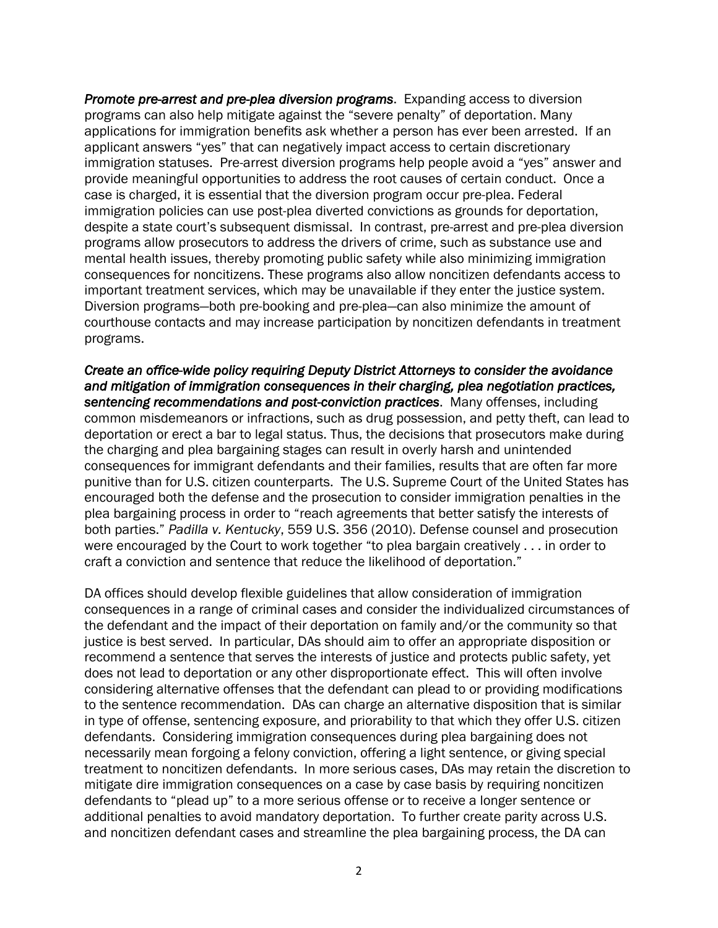*Promote pre-arrest and pre-plea diversion programs*. Expanding access to diversion programs can also help mitigate against the "severe penalty" of deportation. Many applications for immigration benefits ask whether a person has ever been arrested. If an applicant answers "yes" that can negatively impact access to certain discretionary immigration statuses. Pre-arrest diversion programs help people avoid a "yes" answer and provide meaningful opportunities to address the root causes of certain conduct. Once a case is charged, it is essential that the diversion program occur pre-plea. Federal immigration policies can use post-plea diverted convictions as grounds for deportation, despite a state court's subsequent dismissal. In contrast, pre-arrest and pre-plea diversion programs allow prosecutors to address the drivers of crime, such as substance use and mental health issues, thereby promoting public safety while also minimizing immigration consequences for noncitizens. These programs also allow noncitizen defendants access to important treatment services, which may be unavailable if they enter the justice system. Diversion programs—both pre-booking and pre-plea—can also minimize the amount of courthouse contacts and may increase participation by noncitizen defendants in treatment programs.

*Create an office-wide policy requiring Deputy District Attorneys to consider the avoidance and mitigation of immigration consequences in their charging, plea negotiation practices, sentencing recommendations and post-conviction practices*. Many offenses, including common misdemeanors or infractions, such as drug possession, and petty theft, can lead to deportation or erect a bar to legal status. Thus, the decisions that prosecutors make during the charging and plea bargaining stages can result in overly harsh and unintended consequences for immigrant defendants and their families, results that are often far more punitive than for U.S. citizen counterparts. The U.S. Supreme Court of the United States has encouraged both the defense and the prosecution to consider immigration penalties in the plea bargaining process in order to "reach agreements that better satisfy the interests of both parties." *Padilla v. Kentucky*, 559 U.S. 356 (2010). Defense counsel and prosecution were encouraged by the Court to work together "to plea bargain creatively . . . in order to craft a conviction and sentence that reduce the likelihood of deportation."

DA offices should develop flexible guidelines that allow consideration of immigration consequences in a range of criminal cases and consider the individualized circumstances of the defendant and the impact of their deportation on family and/or the community so that justice is best served. In particular, DAs should aim to offer an appropriate disposition or recommend a sentence that serves the interests of justice and protects public safety, yet does not lead to deportation or any other disproportionate effect. This will often involve considering alternative offenses that the defendant can plead to or providing modifications to the sentence recommendation. DAs can charge an alternative disposition that is similar in type of offense, sentencing exposure, and priorability to that which they offer U.S. citizen defendants. Considering immigration consequences during plea bargaining does not necessarily mean forgoing a felony conviction, offering a light sentence, or giving special treatment to noncitizen defendants. In more serious cases, DAs may retain the discretion to mitigate dire immigration consequences on a case by case basis by requiring noncitizen defendants to "plead up" to a more serious offense or to receive a longer sentence or additional penalties to avoid mandatory deportation. To further create parity across U.S. and noncitizen defendant cases and streamline the plea bargaining process, the DA can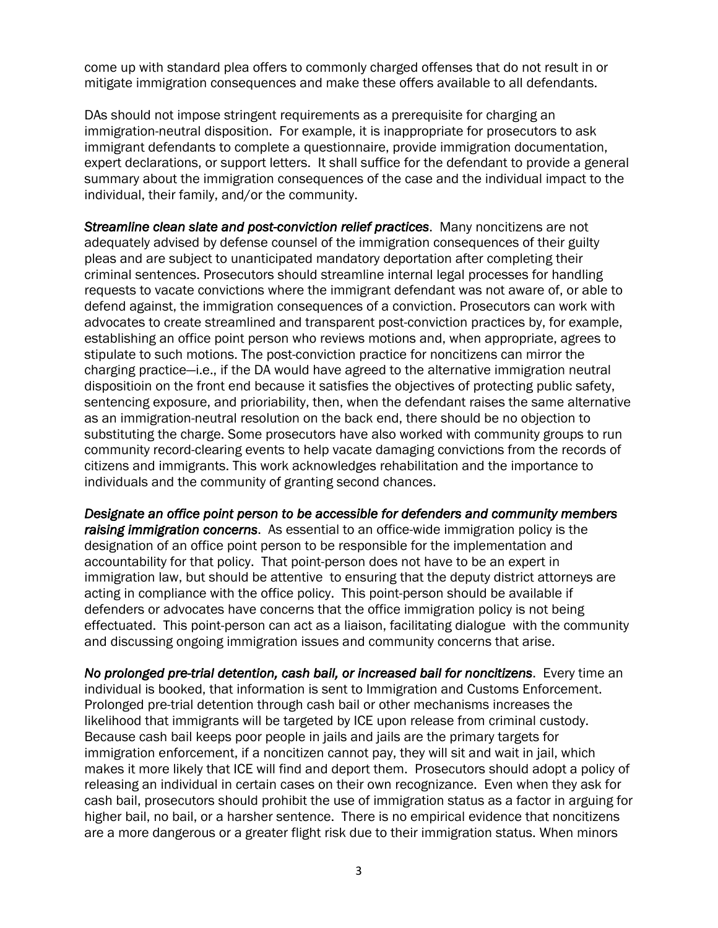come up with standard plea offers to commonly charged offenses that do not result in or mitigate immigration consequences and make these offers available to all defendants.

DAs should not impose stringent requirements as a prerequisite for charging an immigration-neutral disposition. For example, it is inappropriate for prosecutors to ask immigrant defendants to complete a questionnaire, provide immigration documentation, expert declarations, or support letters. It shall suffice for the defendant to provide a general summary about the immigration consequences of the case and the individual impact to the individual, their family, and/or the community.

*Streamline clean slate and post-conviction relief practices*. Many noncitizens are not adequately advised by defense counsel of the immigration consequences of their guilty pleas and are subject to unanticipated mandatory deportation after completing their criminal sentences. Prosecutors should streamline internal legal processes for handling requests to vacate convictions where the immigrant defendant was not aware of, or able to defend against, the immigration consequences of a conviction. Prosecutors can work with advocates to create streamlined and transparent post-conviction practices by, for example, establishing an office point person who reviews motions and, when appropriate, agrees to stipulate to such motions. The post-conviction practice for noncitizens can mirror the charging practice—i.e., if the DA would have agreed to the alternative immigration neutral dispositioin on the front end because it satisfies the objectives of protecting public safety, sentencing exposure, and prioriability, then, when the defendant raises the same alternative as an immigration-neutral resolution on the back end, there should be no objection to substituting the charge. Some prosecutors have also worked with community groups to run community record-clearing events to help vacate damaging convictions from the records of citizens and immigrants. This work acknowledges rehabilitation and the importance to individuals and the community of granting second chances.

*Designate an office point person to be accessible for defenders and community members raising immigration concerns*. As essential to an office-wide immigration policy is the designation of an office point person to be responsible for the implementation and accountability for that policy. That point-person does not have to be an expert in immigration law, but should be attentive to ensuring that the deputy district attorneys are acting in compliance with the office policy. This point-person should be available if defenders or advocates have concerns that the office immigration policy is not being effectuated. This point-person can act as a liaison, facilitating dialogue with the community and discussing ongoing immigration issues and community concerns that arise.

*No prolonged pre-trial detention, cash bail, or increased bail for noncitizens*. Every time an individual is booked, that information is sent to Immigration and Customs Enforcement. Prolonged pre-trial detention through cash bail or other mechanisms increases the likelihood that immigrants will be targeted by ICE upon release from criminal custody. Because cash bail keeps poor people in jails and jails are the primary targets for immigration enforcement, if a noncitizen cannot pay, they will sit and wait in jail, which makes it more likely that ICE will find and deport them. Prosecutors should adopt a policy of releasing an individual in certain cases on their own recognizance. Even when they ask for cash bail, prosecutors should prohibit the use of immigration status as a factor in arguing for higher bail, no bail, or a harsher sentence. There is no empirical evidence that noncitizens are a more dangerous or a greater flight risk due to their immigration status. When minors